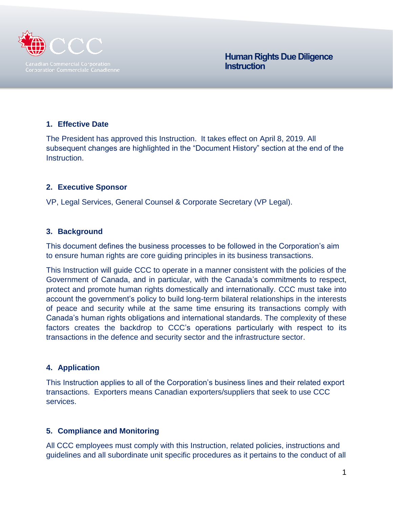

 **Human Rights Due Diligence Instruction**

### **1. Effective Date**

The President has approved this Instruction. It takes effect on April 8, 2019. All subsequent changes are highlighted in the "Document History" section at the end of the Instruction.

#### **2. Executive Sponsor**

VP, Legal Services, General Counsel & Corporate Secretary (VP Legal).

### **3. Background**

This document defines the business processes to be followed in the Corporation's aim to ensure human rights are core guiding principles in its business transactions.

This Instruction will guide CCC to operate in a manner consistent with the policies of the Government of Canada, and in particular, with the Canada's commitments to respect, protect and promote human rights domestically and internationally. CCC must take into account the government's policy to build long-term bilateral relationships in the interests of peace and security while at the same time ensuring its transactions comply with Canada's human rights obligations and international standards. The complexity of these factors creates the backdrop to CCC's operations particularly with respect to its transactions in the defence and security sector and the infrastructure sector.

#### **4. Application**

This Instruction applies to all of the Corporation's business lines and their related export transactions. Exporters means Canadian exporters/suppliers that seek to use CCC services.

#### **5. Compliance and Monitoring**

All CCC employees must comply with this Instruction, related policies, instructions and guidelines and all subordinate unit specific procedures as it pertains to the conduct of all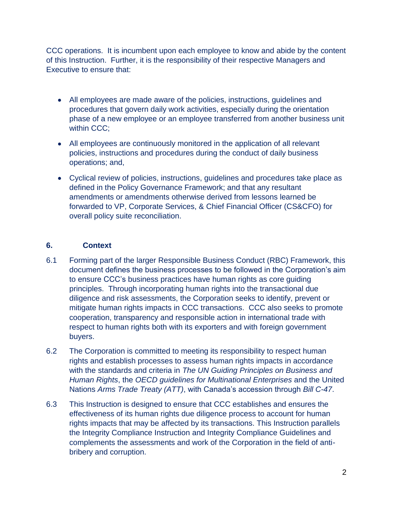CCC operations. It is incumbent upon each employee to know and abide by the content of this Instruction. Further, it is the responsibility of their respective Managers and Executive to ensure that:

- All employees are made aware of the policies, instructions, guidelines and procedures that govern daily work activities, especially during the orientation phase of a new employee or an employee transferred from another business unit within CCC:
- All employees are continuously monitored in the application of all relevant policies, instructions and procedures during the conduct of daily business operations; and,
- Cyclical review of policies, instructions, guidelines and procedures take place as defined in the Policy Governance Framework; and that any resultant amendments or amendments otherwise derived from lessons learned be forwarded to VP, Corporate Services, & Chief Financial Officer (CS&CFO) for overall policy suite reconciliation.

## **6. Context**

- 6.1 Forming part of the larger Responsible Business Conduct (RBC) Framework, this document defines the business processes to be followed in the Corporation's aim to ensure CCC's business practices have human rights as core guiding principles. Through incorporating human rights into the transactional due diligence and risk assessments, the Corporation seeks to identify, prevent or mitigate human rights impacts in CCC transactions. CCC also seeks to promote cooperation, transparency and responsible action in international trade with respect to human rights both with its exporters and with foreign government buyers.
- 6.2 The Corporation is committed to meeting its responsibility to respect human rights and establish processes to assess human rights impacts in accordance with the standards and criteria in *The UN Guiding Principles on Business and Human Rights*, the *OECD guidelines for Multinational Enterprises* and the United Nations *Arms Trade Treaty (ATT)*, with Canada's accession through *Bill C-47*.
- 6.3 This Instruction is designed to ensure that CCC establishes and ensures the effectiveness of its human rights due diligence process to account for human rights impacts that may be affected by its transactions. This Instruction parallels the Integrity Compliance Instruction and Integrity Compliance Guidelines and complements the assessments and work of the Corporation in the field of antibribery and corruption.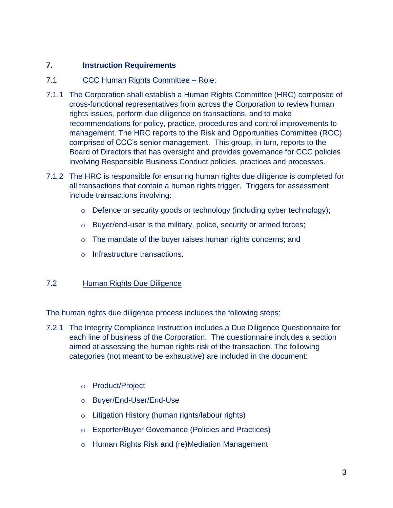## **7. Instruction Requirements**

## 7.1 CCC Human Rights Committee – Role:

- 7.1.1 The Corporation shall establish a Human Rights Committee (HRC) composed of cross-functional representatives from across the Corporation to review human rights issues, perform due diligence on transactions, and to make recommendations for policy, practice, procedures and control improvements to management. The HRC reports to the Risk and Opportunities Committee (ROC) comprised of CCC's senior management. This group, in turn, reports to the Board of Directors that has oversight and provides governance for CCC policies involving Responsible Business Conduct policies, practices and processes.
- 7.1.2 The HRC is responsible for ensuring human rights due diligence is completed for all transactions that contain a human rights trigger. Triggers for assessment include transactions involving:
	- o Defence or security goods or technology (including cyber technology);
	- o Buyer/end-user is the military, police, security or armed forces;
	- o The mandate of the buyer raises human rights concerns; and
	- o Infrastructure transactions.

## 7.2 Human Rights Due Diligence

The human rights due diligence process includes the following steps:

- 7.2.1 The Integrity Compliance Instruction includes a Due Diligence Questionnaire for each line of business of the Corporation. The questionnaire includes a section aimed at assessing the human rights risk of the transaction. The following categories (not meant to be exhaustive) are included in the document:
	- o Product/Project
	- o Buyer/End-User/End-Use
	- o Litigation History (human rights/labour rights)
	- o Exporter/Buyer Governance (Policies and Practices)
	- o Human Rights Risk and (re)Mediation Management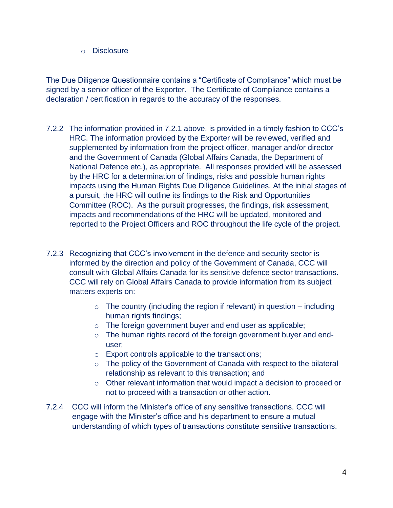o Disclosure

The Due Diligence Questionnaire contains a "Certificate of Compliance" which must be signed by a senior officer of the Exporter. The Certificate of Compliance contains a declaration / certification in regards to the accuracy of the responses.

- 7.2.2 The information provided in 7.2.1 above, is provided in a timely fashion to CCC's HRC. The information provided by the Exporter will be reviewed, verified and supplemented by information from the project officer, manager and/or director and the Government of Canada (Global Affairs Canada, the Department of National Defence etc.), as appropriate. All responses provided will be assessed by the HRC for a determination of findings, risks and possible human rights impacts using the Human Rights Due Diligence Guidelines. At the initial stages of a pursuit, the HRC will outline its findings to the Risk and Opportunities Committee (ROC). As the pursuit progresses, the findings, risk assessment, impacts and recommendations of the HRC will be updated, monitored and reported to the Project Officers and ROC throughout the life cycle of the project.
- 7.2.3 Recognizing that CCC's involvement in the defence and security sector is informed by the direction and policy of the Government of Canada, CCC will consult with Global Affairs Canada for its sensitive defence sector transactions. CCC will rely on Global Affairs Canada to provide information from its subject matters experts on:
	- $\circ$  The country (including the region if relevant) in question including human rights findings;
	- o The foreign government buyer and end user as applicable;
	- o The human rights record of the foreign government buyer and enduser;
	- o Export controls applicable to the transactions;
	- o The policy of the Government of Canada with respect to the bilateral relationship as relevant to this transaction; and
	- $\circ$  Other relevant information that would impact a decision to proceed or not to proceed with a transaction or other action.
- 7.2.4 CCC will inform the Minister's office of any sensitive transactions. CCC will engage with the Minister's office and his department to ensure a mutual understanding of which types of transactions constitute sensitive transactions.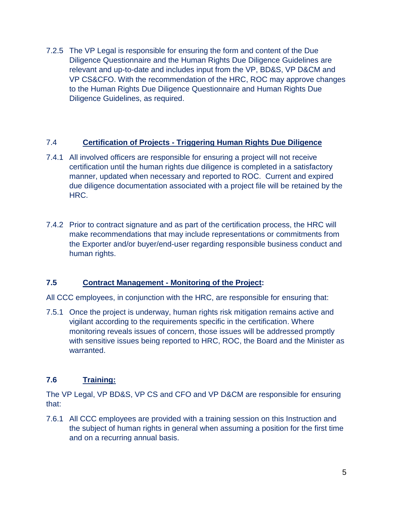7.2.5 The VP Legal is responsible for ensuring the form and content of the Due Diligence Questionnaire and the Human Rights Due Diligence Guidelines are relevant and up-to-date and includes input from the VP, BD&S, VP D&CM and VP CS&CFO. With the recommendation of the HRC, ROC may approve changes to the Human Rights Due Diligence Questionnaire and Human Rights Due Diligence Guidelines, as required.

### 7.4 **Certification of Projects - Triggering Human Rights Due Diligence**

- 7.4.1 All involved officers are responsible for ensuring a project will not receive certification until the human rights due diligence is completed in a satisfactory manner, updated when necessary and reported to ROC. Current and expired due diligence documentation associated with a project file will be retained by the HRC.
- 7.4.2 Prior to contract signature and as part of the certification process, the HRC will make recommendations that may include representations or commitments from the Exporter and/or buyer/end-user regarding responsible business conduct and human rights.

## **7.5 Contract Management - Monitoring of the Project:**

All CCC employees, in conjunction with the HRC, are responsible for ensuring that:

7.5.1 Once the project is underway, human rights risk mitigation remains active and vigilant according to the requirements specific in the certification. Where monitoring reveals issues of concern, those issues will be addressed promptly with sensitive issues being reported to HRC, ROC, the Board and the Minister as warranted.

## **7.6 Training:**

The VP Legal, VP BD&S, VP CS and CFO and VP D&CM are responsible for ensuring that:

7.6.1 All CCC employees are provided with a training session on this Instruction and the subject of human rights in general when assuming a position for the first time and on a recurring annual basis.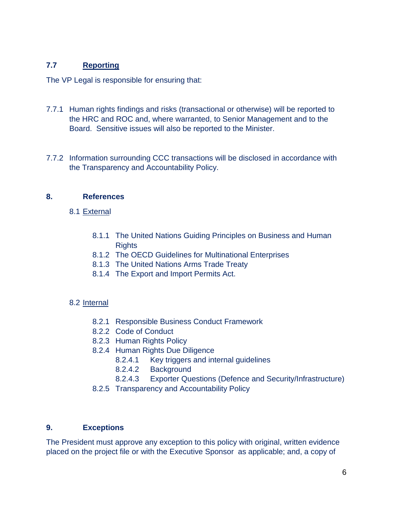# **7.7 Reporting**

The VP Legal is responsible for ensuring that:

- 7.7.1 Human rights findings and risks (transactional or otherwise) will be reported to the HRC and ROC and, where warranted, to Senior Management and to the Board. Sensitive issues will also be reported to the Minister.
- 7.7.2 Information surrounding CCC transactions will be disclosed in accordance with the Transparency and Accountability Policy.

## **8. References**

- 8.1 External
	- 8.1.1 The United Nations Guiding Principles on Business and Human **Rights**
	- 8.1.2 The OECD Guidelines for Multinational Enterprises
	- 8.1.3 The United Nations [Arms Trade Treaty](http://www.tbs-sct.gc.ca/pol/doc-eng.aspx?id=25049)
	- 8.1.4 The Export and Import Permits Act.

## 8.2 Internal

- 8.2.1 Responsible Business Conduct Framework
- 8.2.2 Code of Conduct
- 8.2.3 Human Rights Policy
- 8.2.4 Human Rights Due Diligence
	- 8.2.4.1 Key triggers and internal guidelines
	- 8.2.4.2 Background
	- 8.2.4.3 Exporter Questions (Defence and Security/Infrastructure)
- 8.2.5 Transparency and Accountability Policy

## **9. Exceptions**

The President must approve any exception to this policy with original, written evidence placed on the project file or with the Executive Sponsor as applicable; and, a copy of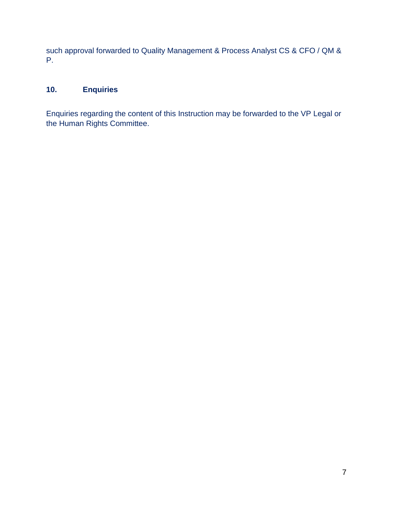such approval forwarded to Quality Management & Process Analyst CS & CFO / QM & P.

# **10. Enquiries**

Enquiries regarding the content of this Instruction may be forwarded to the VP Legal or the Human Rights Committee.